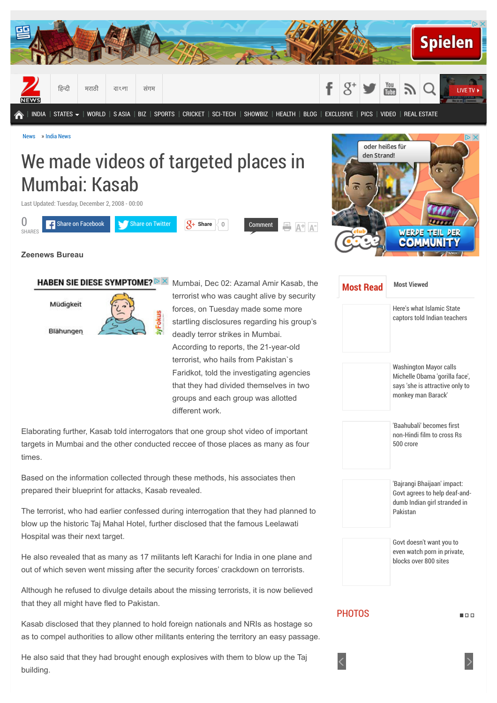

[News](http://zeenews.india.com/) » [India News](http://zeenews.india.com/india)

# We made videos of targeted places in Mumbai: Kasab

Last Updated: Tuesday, December 2, 2008 - 00:00





## **Zeenews Bureau**

HABEN SIE DIESE SYMPTOME?  $\triangleright$   $\times$ 

Müdigkeit Blähungen Mumbai, Dec 02: Azamal Amir Kasab, the terrorist who was caught alive by security forces, on Tuesday made some more startling disclosures regarding his group's deadly terror strikes in Mumbai. According to reports, the 21-year-old terrorist, who hails from Pakistan`s Faridkot, told the investigating agencies that they had divided themselves in two groups and each group was allotted different work.

Elaborating further, Kasab told interrogators that one group shot video of important targets in Mumbai and the other conducted reccee of those places as many as four times.

Based on the information collected through these methods, his associates then prepared their blueprint for attacks, Kasab revealed.

The terrorist, who had earlier confessed during interrogation that they had planned to blow up the historic Taj Mahal Hotel, further disclosed that the famous Leelawati Hospital was their next target.

He also revealed that as many as 17 militants left Karachi for India in one plane and out of which seven went missing after the security forces' crackdown on terrorists.

Although he refused to divulge details about the missing terrorists, it is now believed that they all might have fled to Pakistan.

Kasab disclosed that they planned to hold foreign nationals and NRIs as hostage so as to compel authorities to allow other militants entering the territory an easy passage.

He also said that they had brought enough explosives with them to blow up the Taj building.

| <b>Most Read</b> | <b>Most Viewed</b>                                                                                                       |  |  |  |
|------------------|--------------------------------------------------------------------------------------------------------------------------|--|--|--|
|                  | Here's what Islamic State<br>captors told Indian teachers                                                                |  |  |  |
|                  | <b>Washington Mayor calls</b><br>Michelle Obama 'gorilla face',<br>says 'she is attractive only to<br>monkey man Barack' |  |  |  |
|                  | 'Baahuhali' becomes first<br>non-Hindi film to cross Rs<br>500 crore                                                     |  |  |  |
|                  | 'Bajrangi Bhaijaan' impact:<br>Govt agrees to help deaf-and-<br>dumb Indian girl stranded in<br>Pakistan                 |  |  |  |
|                  | Govt doesn't want you to<br>even watch porn in private,<br>blocks over 800 sites                                         |  |  |  |
| <b>PHOTOS</b>    |                                                                                                                          |  |  |  |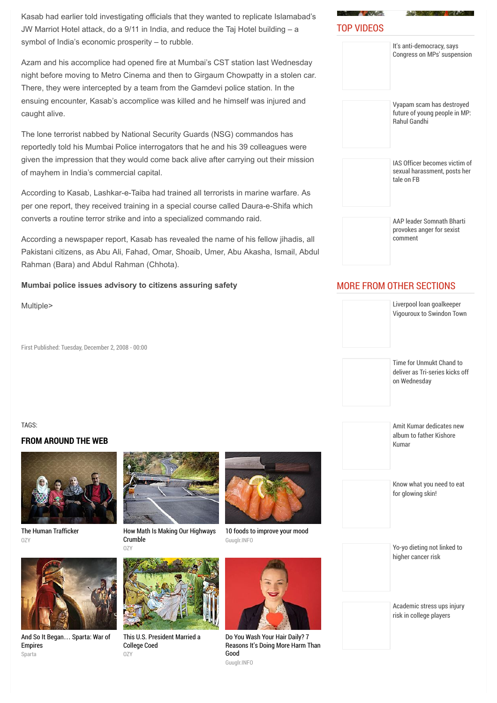Kasab had earlier told investigating officials that they wanted to replicate Islamabad's JW Marriot Hotel attack, do a 9/11 in India, and reduce the Taj Hotel building – a symbol of India's economic prosperity – to rubble.

Azam and his accomplice had opened fire at Mumbai's CST station last Wednesday night before moving to Metro Cinema and then to Girgaum Chowpatty in a stolen car. There, they were intercepted by a team from the Gamdevi police station. In the ensuing encounter, Kasab's accomplice was killed and he himself was injured and caught alive.

The lone terrorist nabbed by National Security Guards (NSG) commandos has reportedly told his Mumbai Police interrogators that he and his 39 colleagues were given the impression that they would come back alive after carrying out their mission of mayhem in India's commercial capital.

According to Kasab, Lashkar-e-Taiba had trained all terrorists in marine warfare. As per one report, they received training in a special course called Daura-e-Shifa which converts a routine terror strike and into a specialized commando raid.

According a newspaper report, Kasab has revealed the name of his fellow jihadis, all Pakistani citizens, as Abu Ali, Fahad, Omar, Shoaib, Umer, Abu Akasha, Ismail, Abdul Rahman (Bara) and Abdul Rahman (Chhota).

#### **Mumbai police issues advisory to citizens assuring safety**

Multiple>

First Published: Tuesday, December 2, 2008 - 00:00

#### TAGS:

#### **FROM AROUND THE WEB**



[The Human Trafficker](http://www.ozy.com/true-story/the-human-trafficker/40035?utm_source=Outbrain&utm_medium=CPC&utm_campaign=INTL%20-%20All%20Clicks%20ALL%20Devices)  $07Y$ 



[How Math Is Making Our Highways](http://www.ozy.com/acumen/how-math-is-making-our-highways-crumble/41459?utm_source=Outbrain&utm_medium=CPC&utm_campaign=INTL%20-%20All%20Clicks%20ALL%20Devices) Crumble OZY



[And So It Began](http://plarium.com/en/strategy-games/sparta-war-of-empires/?plid=67283&pxl=outbrain&publisherid=SP_EN_ROW_New_Pool_Test)… Sparta: War of Empires Sparta



[This U.S. President Married a](http://www.ozy.com/flashback/this-us-president-married-a-college-coed/41605?utm_source=Outbrain&utm_medium=CPC&utm_campaign=INTL%20-%20All%20Clicks%20ALL%20Devices) College Coed OZY



[10 foods to improve your mood](http://guuglr.info/10-foods-to-improve-your-mood/) Guuglr.INFO



Do You Wash Your Hair Daily? 7 [Reasons It's Doing More Harm Than](http://guuglr.info/do-you-wash-your-hair-daily-7-reasons-its-doing-more-harm-than-good/) Good Guuglr.INFO



| It's anti-democracy, says<br>Congress on MPs' suspension                          |
|-----------------------------------------------------------------------------------|
| Vyapam scam has destroyed<br>future of young people in MP:<br><b>Rahul Gandhi</b> |
| IAS Officer becomes victim of<br>sexual harassment, posts her<br>tale on FB       |
| AAP leader Somnath Bharti<br>provokes anger for sexist<br>comment                 |

## MORE FROM OTHER SECTIONS